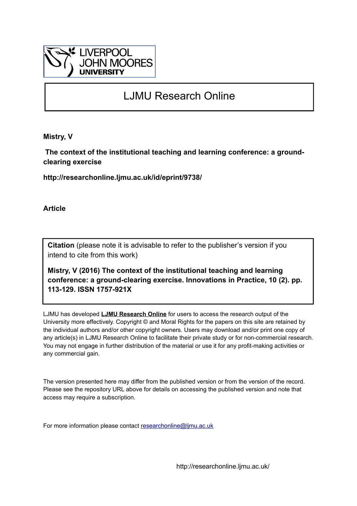

## LJMU Research Online

**Mistry, V**

 **The context of the institutional teaching and learning conference: a groundclearing exercise**

**http://researchonline.ljmu.ac.uk/id/eprint/9738/**

**Article**

**Citation** (please note it is advisable to refer to the publisher's version if you intend to cite from this work)

**Mistry, V (2016) The context of the institutional teaching and learning conference: a ground-clearing exercise. Innovations in Practice, 10 (2). pp. 113-129. ISSN 1757-921X** 

LJMU has developed **[LJMU Research Online](http://researchonline.ljmu.ac.uk/)** for users to access the research output of the University more effectively. Copyright © and Moral Rights for the papers on this site are retained by the individual authors and/or other copyright owners. Users may download and/or print one copy of any article(s) in LJMU Research Online to facilitate their private study or for non-commercial research. You may not engage in further distribution of the material or use it for any profit-making activities or any commercial gain.

The version presented here may differ from the published version or from the version of the record. Please see the repository URL above for details on accessing the published version and note that access may require a subscription.

For more information please contact [researchonline@ljmu.ac.uk](mailto:researchonline@ljmu.ac.uk)

http://researchonline.ljmu.ac.uk/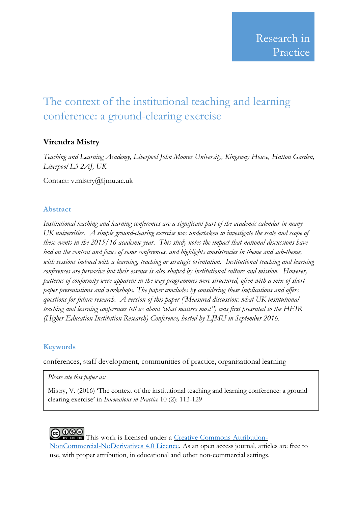# The context of the institutional teaching and learning conference: a ground-clearing exercise

### **Virendra Mistry**

*Teaching and Learning Academy, Liverpool John Moores University, Kingsway House, Hatton Garden, Liverpool L3 2AJ, UK*

Contact: v.mistry@ljmu.ac.uk

#### **Abstract**

*Institutional teaching and learning conferences are a significant part of the academic calendar in many UK universities. A simple ground-clearing exercise was undertaken to investigate the scale and scope of these events in the 2015/16 academic year. This study notes the impact that national discussions have had on the content and focus of some conferences, and highlights consistencies in theme and sub-theme, with sessions imbued with a learning, teaching or strategic orientation. Institutional teaching and learning conferences are pervasive but their essence is also shaped by institutional culture and mission. However, patterns of conformity were apparent in the way programmes were structured, often with a mix of short paper presentations and workshops. The paper concludes by considering these implications and offers questions for future research. A version of this paper ('Measured discussion: what UK institutional teaching and learning conferences tell us about 'what matters most'') was first presented to the HEIR (Higher Education Institution Research) Conference, hosted by LJMU in September 2016.*

#### **Keywords**

conferences, staff development, communities of practice, organisational learning

#### *Please cite this paper as:*

Mistry, V. (2016) 'The context of the institutional teaching and learning conference: a ground clearing exercise' in *Innovations in Practice* 10 (2): 113-129

COOSO This work is licensed under a Creative Commons [Attribution-](http://creativecommons.org/licenses/by-nc-nd/4.0/)[NonCommercial-NoDerivatives](http://creativecommons.org/licenses/by-nc-nd/4.0/) 4.0 Licence. As an open access journal, articles are free to use, with proper attribution, in educational and other non‐commercial settings.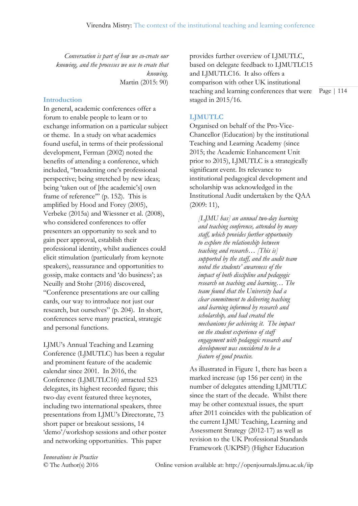*Conversation is part of how we co-create our knowing, and the processes we use to create that knowing.* Martin (2015: 90)

#### **Introduction**

In general, academic conferences offer a forum to enable people to learn or to exchange information on a particular subject or theme. In a study on what academics found useful, in terms of their professional development, Ferman (2002) noted the benefits of attending a conference, which included, "broadening one's professional perspective; being stretched by new ideas; being 'taken out of [the academic's] own frame of reference" (p. 152). This is amplified by Hood and Forey (2005), Verbeke (2015a) and Wiessner et al. (2008), who considered conferences to offer presenters an opportunity to seek and to gain peer approval, establish their professional identity, whilst audiences could elicit stimulation (particularly from keynote speakers), reassurance and opportunities to gossip, make contacts and 'do business'; as Neuilly and Stohr (2016) discovered, "Conference presentations are our calling cards, our way to introduce not just our research, but ourselves" (p. 204). In short, conferences serve many practical, strategic and personal functions.

LJMU's Annual Teaching and Learning Conference (LJMUTLC) has been a regular and prominent feature of the academic calendar since 2001. In 2016, the Conference (LJMUTLC16) attracted 523 delegates, its highest recorded figure; this two-day event featured three keynotes, including two international speakers, three presentations from LJMU's Directorate, 73 short paper or breakout sessions, 14 'demo'/workshop sessions and other poster and networking opportunities. This paper

provides further overview of LJMUTLC, based on delegate feedback to LJMUTLC15 and LJMUTLC16. It also offers a comparison with other UK institutional teaching and learning conferences that were staged in 2015/16.

**LJMUTLC**

Organised on behalf of the Pro-Vice-Chancellor (Education) by the institutional Teaching and Learning Academy (since 2015; the Academic Enhancement Unit prior to 2015), LJMUTLC is a strategically significant event. Its relevance to institutional pedagogical development and scholarship was acknowledged in the Institutional Audit undertaken by the QAA (2009: 11),

*[LJMU has] an annual two-day learning and teaching conference, attended by many staff, which provides further opportunity to explore the relationship between teaching and research… [This is] supported by the staff, and the audit team noted the students' awareness of the impact of both discipline and pedagogic research on teaching and learning… The team found that the University had a clear commitment to delivering teaching and learning informed by research and scholarship, and had created the mechanisms for achieving it. The impact on the student experience of staff engagement with pedagogic research and development was considered to be a feature of good practice.*

As illustrated in Figure 1, there has been a marked increase (up 156 per cent) in the number of delegates attending LJMUTLC since the start of the decade. Whilst there may be other contextual issues, the spurt after 2011 coincides with the publication of the current LJMU Teaching, Learning and Assessment Strategy (2012-17) as well as revision to the UK Professional Standards Framework (UKPSF) (Higher Education

*Innovations in Practice*

© The Author(s) 2016 Online version available at: http://openjournals.ljmu.ac.uk/iip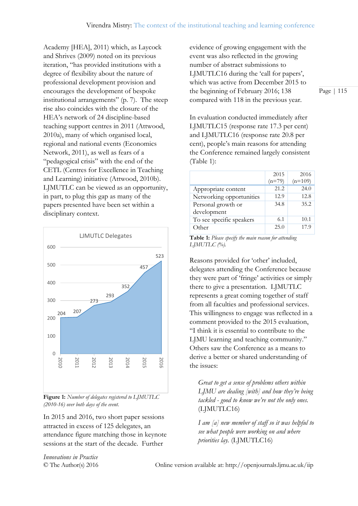Academy [HEA], 2011) which, as Laycock and Shrives (2009) noted on its previous iteration, "has provided institutions with a degree of flexibility about the nature of professional development provision and encourages the development of bespoke institutional arrangements" (p. 7). The steep rise also coincides with the closure of the HEA's network of 24 discipline-based teaching support centres in 2011 (Attwood, 2010a), many of which organised local, regional and national events (Economics Network, 2011), as well as fears of a "pedagogical crisis" with the end of the CETL (Centres for Excellence in Teaching and Learning) initiative (Attwood, 2010b). LJMUTLC can be viewed as an opportunity, in part, to plug this gap as many of the papers presented have been set within a disciplinary context.



**Figure 1:** *Number of delegates registered to LJMUTLC (2010-16) over both days of the event.*

In 2015 and 2016, two short paper sessions attracted in excess of 125 delegates, an attendance figure matching those in keynote sessions at the start of the decade. Further

evidence of growing engagement with the event was also reflected in the growing number of abstract submissions to LJMUTLC16 during the 'call for papers', which was active from December 2015 to the beginning of February 2016; 138 compared with 118 in the previous year.

Page | 115

In evaluation conducted immediately after LJMUTLC15 (response rate 17.3 per cent) and LJMUTLC16 (response rate 20.8 per cent), people's main reasons for attending the Conference remained largely consistent (Table 1):

|                          | 2015     | 2016      |
|--------------------------|----------|-----------|
|                          | $(n=79)$ | $(n=109)$ |
| Appropriate content      | 21.2     | 24.0      |
| Networking opportunities | 12.9     | 12.8      |
| Personal growth or       | 34.8     | 35.2      |
| development              |          |           |
| To see specific speakers | 6.1      | 10.1      |
| Other                    | 25.0     | 17.9      |

**Table 1:** *Please specify the main reason for attending LJMUTLC (%).*

Reasons provided for 'other' included, delegates attending the Conference because they were part of 'fringe' activities or simply there to give a presentation. LJMUTLC represents a great coming together of staff from all faculties and professional services. This willingness to engage was reflected in a comment provided to the 2015 evaluation, "I think it is essential to contribute to the LJMU learning and teaching community." Others saw the Conference as a means to derive a better or shared understanding of the issues:

*Great to get a sense of problems others within LJMU are dealing [with] and how they're being tackled - good to know we're not the only ones.*  (LJMUTLC16)

*I am [a] new member of staff so it was helpful to see what people were working on and where priorities lay.* (LJMUTLC16)

*Innovations in Practice*

© The Author(s) 2016 Online version available at: http://openjournals.ljmu.ac.uk/iip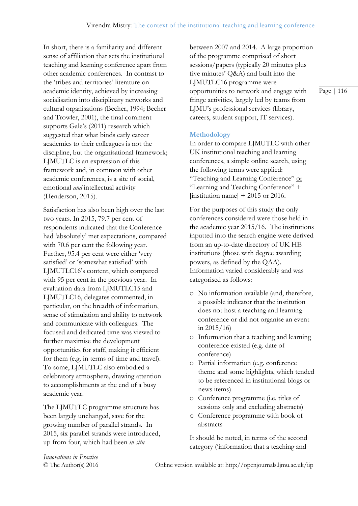In short, there is a familiarity and different sense of affiliation that sets the institutional teaching and learning conference apart from other academic conferences. In contrast to the 'tribes and territories' literature on academic identity, achieved by increasing socialisation into disciplinary networks and cultural organisations (Becher, 1994; Becher and Trowler, 2001), the final comment supports Gale's (2011) research which suggested that what binds early career academics to their colleagues is not the discipline, but the organisational framework; LJMUTLC is an expression of this framework and, in common with other academic conferences, is a site of social, emotional *and* intellectual activity (Henderson, 2015).

Satisfaction has also been high over the last two years. In 2015, 79.7 per cent of respondents indicated that the Conference had 'absolutely' met expectations, compared with 70.6 per cent the following year. Further, 95.4 per cent were either 'very satisfied' or 'somewhat satisfied' with LJMUTLC16's content, which compared with 95 per cent in the previous year. In evaluation data from LJMUTLC15 and LJMUTLC16, delegates commented, in particular, on the breadth of information, sense of stimulation and ability to network and communicate with colleagues. The focused and dedicated time was viewed to further maximise the development opportunities for staff, making it efficient for them (e.g. in terms of time and travel). To some, LJMUTLC also embodied a celebratory atmosphere, drawing attention to accomplishments at the end of a busy academic year.

The LJMUTLC programme structure has been largely unchanged, save for the growing number of parallel strands. In 2015, six parallel strands were introduced, up from four, which had been *in situ*

between 2007 and 2014. A large proportion of the programme comprised of short sessions/papers (typically 20 minutes plus five minutes' Q&A) and built into the LJMUTLC16 programme were opportunities to network and engage with fringe activities, largely led by teams from LJMU's professional services (library, careers, student support, IT services).

#### **Methodology**

In order to compare LJMUTLC with other UK institutional teaching and learning conferences, a simple online search, using the following terms were applied: "Teaching and Learning Conference" or "Learning and Teaching Conference" + [institution name]  $+2015$  or 2016.

For the purposes of this study the only conferences considered were those held in the academic year 2015/16. The institutions inputted into the search engine were derived from an up-to-date directory of UK HE institutions (those with degree awarding powers, as defined by the QAA). Information varied considerably and was categorised as follows:

- o No information available (and, therefore, a possible indicator that the institution does not host a teaching and learning conference or did not organise an event in 2015/16)
- o Information that a teaching and learning conference existed (e.g. date of conference)
- o Partial information (e.g. conference theme and some highlights, which tended to be referenced in institutional blogs or news items)
- o Conference programme (i.e. titles of sessions only and excluding abstracts)
- o Conference programme with book of abstracts

It should be noted, in terms of the second category ('information that a teaching and

*Innovations in Practice*

© The Author(s) 2016 Online version available at: http://openjournals.ljmu.ac.uk/iip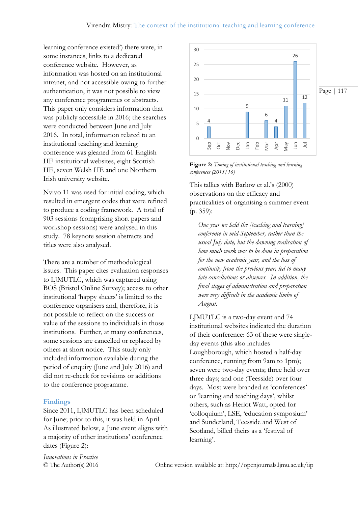learning conference existed') there were, in some instances, links to a dedicated conference website. However, as information was hosted on an institutional intranet, and not accessible owing to further authentication, it was not possible to view any conference programmes or abstracts. This paper only considers information that was publicly accessible in 2016; the searches were conducted between June and July 2016. In total, information related to an institutional teaching and learning conference was gleaned from 61 English HE institutional websites, eight Scottish HE, seven Welsh HE and one Northern Irish university website.

Nvivo 11 was used for initial coding, which resulted in emergent codes that were refined to produce a coding framework. A total of 903 sessions (comprising short papers and workshop sessions) were analysed in this study. 78 keynote session abstracts and titles were also analysed.

There are a number of methodological issues. This paper cites evaluation responses to LJMUTLC, which was captured using BOS (Bristol Online Survey); access to other institutional 'happy sheets' is limited to the conference organisers and, therefore, it is not possible to reflect on the success or value of the sessions to individuals in those institutions. Further, at many conferences, some sessions are cancelled or replaced by others at short notice. This study only included information available during the period of enquiry (June and July 2016) and did not re-check for revisions or additions to the conference programme.

#### **Findings**

Since 2011, LJMUTLC has been scheduled for June; prior to this, it was held in April. As illustrated below, a June event aligns with a majority of other institutions' conference dates (Figure 2):



**Figure 2:** *Timing of institutional teaching and learning conferences (2015/16)*

This tallies with Barlow et al.'s (2000) observations on the efficacy and practicalities of organising a summer event (p. 359):

*One year we held the [teaching and learning] conference in mid-September, rather than the usual July date, but the dawning realisation of how much work was to be done in preparation for the new academic year, and the loss of continuity from the previous year, led to many late cancellations or absences. In addition, the final stages of administration and preparation were very difficult in the academic limbo of August.*

LJMUTLC is a two-day event and 74 institutional websites indicated the duration of their conference: 63 of these were singleday events (this also includes Loughborough, which hosted a half-day conference, running from 9am to 1pm); seven were two-day events; three held over three days; and one (Teesside) over four days. Most were branded as 'conferences' or 'learning and teaching days', whilst others, such as Heriot Watt, opted for 'colloquium', LSE, 'education symposium' and Sunderland, Teesside and West of Scotland, billed theirs as a 'festival of learning'.

*Innovations in Practice*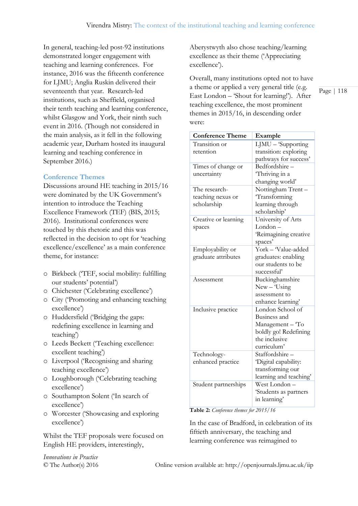In general, teaching-led post-92 institutions demonstrated longer engagement with teaching and learning conferences. For instance, 2016 was the fifteenth conference for LJMU; Anglia Ruskin delivered their seventeenth that year. Research-led institutions, such as Sheffield, organised their tenth teaching and learning conference, whilst Glasgow and York, their ninth such event in 2016. (Though not considered in the main analysis, as it fell in the following academic year, Durham hosted its inaugural learning and teaching conference in September 2016.)

#### **Conference Themes**

Discussions around HE teaching in 2015/16 were dominated by the UK Government's intention to introduce the Teaching Excellence Framework (TEF) (BIS, 2015; 2016). Institutional conferences were touched by this rhetoric and this was reflected in the decision to opt for 'teaching excellence/excellence' as a main conference theme, for instance:

- o Birkbeck ('TEF, social mobility: fulfilling our students' potential')
- o Chichester ('Celebrating excellence')
- o City ('Promoting and enhancing teaching excellence')
- o Huddersfield ('Bridging the gaps: redefining excellence in learning and teaching')
- o Leeds Beckett ('Teaching excellence: excellent teaching')
- o Liverpool ('Recognising and sharing teaching excellence')
- o Loughborough ('Celebrating teaching excellence')
- o Southampton Solent ('In search of excellence')
- o Worcester ('Showcasing and exploring excellence')

Whilst the TEF proposals were focused on English HE providers, interestingly,

*Innovations in Practice*

Aberystwyth also chose teaching/learning excellence as their theme ('Appreciating excellence').

Overall, many institutions opted not to have a theme or applied a very general title (e.g. East London – 'Shout for learning!'). After teaching excellence, the most prominent themes in 2015/16, in descending order were:

| <b>Conference Theme</b> | Example                          |  |
|-------------------------|----------------------------------|--|
| Transition or           | $\overline{L}$ JMU – 'Supporting |  |
| retention               | transition: exploring            |  |
|                         | pathways for success'            |  |
| Times of change or      | Bedfordshire-                    |  |
| uncertainty             | Thriving in a                    |  |
|                         | changing world'                  |  |
| The research-           | Nottingham Trent-                |  |
| teaching nexus or       | Transforming                     |  |
| scholarship             | learning through                 |  |
|                         | scholarship'                     |  |
| Creative or learning    | University of Arts               |  |
| spaces                  | London –                         |  |
|                         | Reimagining creative             |  |
|                         | spaces'                          |  |
| Employability or        | York - Value-added               |  |
| graduate attributes     | graduates: enabling              |  |
|                         | our students to be               |  |
|                         | successful'                      |  |
| Assessment              | Buckinghamshire                  |  |
|                         | $New - Using$                    |  |
|                         | assessment to                    |  |
|                         | enhance learning'                |  |
| Inclusive practice      | London School of                 |  |
|                         | Business and                     |  |
|                         | Management - To                  |  |
|                         | boldly go! Redefining            |  |
|                         | the inclusive                    |  |
|                         | curriculum'                      |  |
| Technology-             | Staffordshire -                  |  |
| enhanced practice       | Digital capability:              |  |
|                         | transforming our                 |  |
|                         | learning and teaching'           |  |
| Student partnerships    | West London-                     |  |
|                         | 'Students as partners            |  |
|                         | in learning'                     |  |

**Table 2:** *Conference themes for 2015/16*

In the case of Bradford, in celebration of its fiftieth anniversary, the teaching and learning conference was reimagined to

© The Author(s) 2016 Online version available at: http://openjournals.ljmu.ac.uk/iip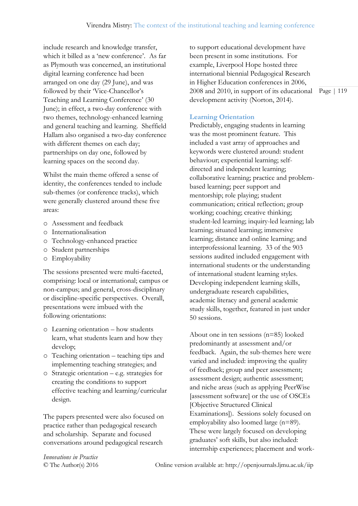include research and knowledge transfer, which it billed as a 'new conference'. As far as Plymouth was concerned, an institutional digital learning conference had been arranged on one day (29 June), and was followed by their 'Vice-Chancellor's Teaching and Learning Conference' (30 June); in effect, a two-day conference with two themes, technology-enhanced learning and general teaching and learning. Sheffield Hallam also organised a two-day conference with different themes on each day; partnerships on day one, followed by learning spaces on the second day.

Whilst the main theme offered a sense of identity, the conferences tended to include sub-themes (or conference tracks), which were generally clustered around these five areas:

- o Assessment and feedback
- o Internationalisation
- o Technology-enhanced practice
- o Student partnerships
- o Employability

The sessions presented were multi-faceted, comprising: local or international; campus or non-campus; and general, cross-disciplinary or discipline-specific perspectives. Overall, presentations were imbued with the following orientations:

- o Learning orientation how students learn, what students learn and how they develop;
- o Teaching orientation teaching tips and implementing teaching strategies; and
- o Strategic orientation e.g. strategies for creating the conditions to support effective teaching and learning/curricular design.

The papers presented were also focused on practice rather than pedagogical research and scholarship. Separate and focused conversations around pedagogical research

to support educational development have been present in some institutions. For example, Liverpool Hope hosted three international biennial Pedagogical Research in Higher Education conferences in 2006, 2008 and 2010, in support of its educational development activity (Norton, 2014).

#### **Learning Orientation**

Predictably, engaging students in learning was the most prominent feature. This included a vast array of approaches and keywords were clustered around: student behaviour; experiential learning; selfdirected and independent learning; collaborative learning; practice and problembased learning; peer support and mentorship; role playing; student communication; critical reflection; group working; coaching; creative thinking; student-led learning; inquiry-led learning; lab learning; situated learning; immersive learning; distance and online learning; and interprofessional learning. 33 of the 903 sessions audited included engagement with international students or the understanding of international student learning styles. Developing independent learning skills, undergraduate research capabilities, academic literacy and general academic study skills, together, featured in just under 50 sessions.

About one in ten sessions (n=85) looked predominantly at assessment and/or feedback. Again, the sub-themes here were varied and included: improving the quality of feedback; group and peer assessment; assessment design; authentic assessment; and niche areas (such as applying PeerWise [assessment software] or the use of OSCEs [Objective Structured Clinical Examinations]). Sessions solely focused on employability also loomed large (n=89). These were largely focused on developing graduates' soft skills, but also included: internship experiences; placement and work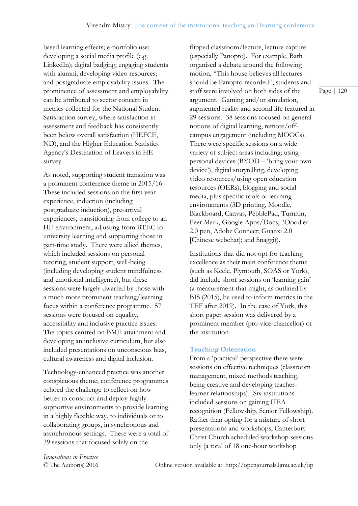based learning effects; e-portfolio use; developing a social media profile (e.g. LinkedIn); digital badging; engaging students with alumni; developing video resources; and postgraduate employability issues. The prominence of assessment and employability can be attributed to sector concern in metrics collected for the National Student Satisfaction survey, where satisfaction in assessment and feedback has consistently been below overall satisfaction (HEFCE, ND), and the Higher Education Statistics Agency's Destination of Leavers in HE survey.

As noted, supporting student transition was a prominent conference theme in 2015/16. These included sessions on the first year experience, induction (including postgraduate induction), pre-arrival experiences, transitioning from college to an HE environment, adjusting from BTEC to university learning and supporting those in part-time study. There were allied themes, which included sessions on personal tutoring, student support, well-being (including developing student mindfulness and emotional intelligence), but these sessions were largely dwarfed by those with a much more prominent teaching/learning focus within a conference programme. 57 sessions were focused on equality, accessibility and inclusive practice issues. The topics centred on BME attainment and developing an inclusive curriculum, but also included presentations on unconscious bias, cultural awareness and digital inclusion.

Technology-enhanced practice was another conspicuous theme; conference programmes echoed the challenge to reflect on how better to construct and deploy highly supportive environments to provide learning in a highly flexible way, to individuals or to collaborating groups, in synchronous and asynchronous settings. There were a total of 39 sessions that focused solely on the

flipped classroom/lecture, lecture capture (especially Panopto). For example, Bath organised a debate around the following motion, "This house believes all lectures should be Panopto recorded"; students and staff were involved on both sides of the argument. Gaming and/or simulation, augmented reality and second life featured in 29 sessions. 38 sessions focused on general notions of digital learning, remote/offcampus engagement (including MOOCs). There were specific sessions on a wide variety of subject areas including; using personal devices (BYOD – 'bring your own device'), digital storytelling, developing video resources/using open education resources (OERs), blogging and social media, plus specific tools or learning environments (3D printing, Moodle, Blackboard, Canvas, PebblePad, Turnitin, Peer Mark, Google Apps/Docs, 3Doodler 2.0 pen, Adobe Connect; Guanxi 2.0 [Chinese webchat]; and Snaggit).

Institutions that did not opt for teaching excellence as their main conference theme (such as Keele, Plymouth, SOAS or York), did include short sessions on 'learning gain' (a measurement that might, as outlined by BIS (2015), be used to inform metrics in the TEF after 2019). In the case of York, this short paper session was delivered by a prominent member (pro-vice-chancellor) of the institution.

#### **Teaching Orientation**

From a 'practical' perspective there were sessions on effective techniques (classroom management, mixed methods teaching, being creative and developing teacherlearner relationships). Six institutions included sessions on gaining HEA recognition (Fellowship, Senior Fellowship). Rather than opting for a mixture of short presentations and workshops, Canterbury Christ Church scheduled workshop sessions only (a total of 18 one-hour workshop

*Innovations in Practice*

© The Author(s) 2016 Online version available at: http://openjournals.ljmu.ac.uk/iip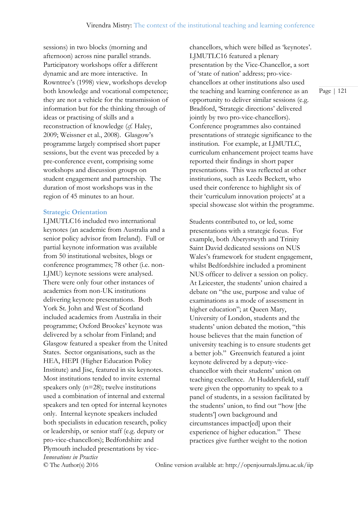sessions) in two blocks (morning and afternoon) across nine parallel strands. Participatory workshops offer a different dynamic and are more interactive. In Rowntree's (1998) view, workshops develop both knowledge and vocational competence; they are not a vehicle for the transmission of information but for the thinking through of ideas or practising of skills and a reconstruction of knowledge (*cf.* Haley, 2009; Weissner et al., 2008). Glasgow's programme largely comprised short paper sessions, but the event was preceded by a pre-conference event, comprising some workshops and discussion groups on student engagement and partnership. The duration of most workshops was in the region of 45 minutes to an hour.

#### **Strategic Orientation**

*Innovations in Practice* LJMUTLC16 included two international keynotes (an academic from Australia and a senior policy advisor from Ireland). Full or partial keynote information was available from 50 institutional websites, blogs or conference programmes; 78 other (i.e. non-LJMU) keynote sessions were analysed. There were only four other instances of academics from non-UK institutions delivering keynote presentations. Both York St. John and West of Scotland included academics from Australia in their programme; Oxford Brookes' keynote was delivered by a scholar from Finland; and Glasgow featured a speaker from the United States. Sector organisations, such as the HEA, HEPI (Higher Education Policy Institute) and Jisc, featured in six keynotes. Most institutions tended to invite external speakers only (n=28); twelve institutions used a combination of internal and external speakers and ten opted for internal keynotes only. Internal keynote speakers included both specialists in education research, policy or leadership, or senior staff (e.g. deputy or pro-vice-chancellors); Bedfordshire and Plymouth included presentations by vicechancellors, which were billed as 'keynotes'. LJMUTLC16 featured a plenary presentation by the Vice-Chancellor, a sort of 'state of nation' address; pro-vicechancellors at other institutions also used the teaching and learning conference as an opportunity to deliver similar sessions (e.g. Bradford, 'Strategic directions' delivered jointly by two pro-vice-chancellors). Conference programmes also contained presentations of strategic significance to the institution. For example, at LJMUTLC, curriculum enhancement project teams have reported their findings in short paper presentations. This was reflected at other institutions, such as Leeds Beckett, who used their conference to highlight six of their 'curriculum innovation projects' at a special showcase slot within the programme.

Students contributed to, or led, some presentations with a strategic focus. For example, both Aberystwyth and Trinity Saint David dedicated sessions on NUS Wales's framework for student engagement, whilst Bedfordshire included a prominent NUS officer to deliver a session on policy. At Leicester, the students' union chaired a debate on "the use, purpose and value of examinations as a mode of assessment in higher education"; at Queen Mary, University of London, students and the students' union debated the motion, "this house believes that the main function of university teaching is to ensure students get a better job." Greenwich featured a joint keynote delivered by a deputy-vicechancellor with their students' union on teaching excellence. At Huddersfield, staff were given the opportunity to speak to a panel of students, in a session facilitated by the students' union, to find out "how [the students'] own background and circumstances impact[ed] upon their experience of higher education." These practices give further weight to the notion

Page | 121

© The Author(s) 2016 Online version available at: http://openjournals.ljmu.ac.uk/iip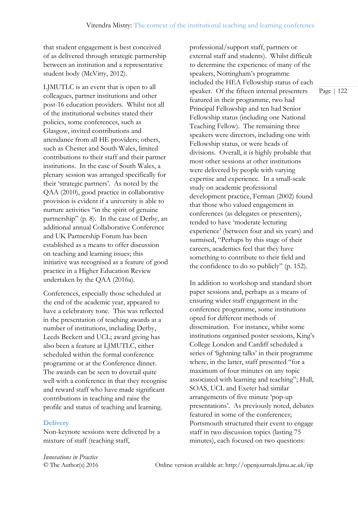that student engagement is best conceived of as delivered through strategic partnership between an institution and a representative student body (McVitty, 2012).

LJMUTLC is an event that is open to all colleagues, partner institutions and other post-16 education providers. Whilst not all of the institutional websites stated their policies, some conferences, such as Glasgow, invited contributions and attendance from all HE providers; others, such as Chester and South Wales, limited contributions to their staff and their partner institutions. In the case of South Wales, a plenary session was arranged specifically for their 'strategic partners'. As noted by the QAA (2010), good practice in collaborative provision is evident if a university is able to nurture activities "in the spirit of genuine partnership" (p. 8). In the case of Derby, an additional annual Collaborative Conference and UK Partnership Forum has been established as a means to offer discussion on teaching and learning issues; this initiative was recognised as a feature of good practice in a Higher Education Review undertaken by the QAA (2016a).

Conferences, especially those scheduled at the end of the academic year, appeared to have a celebratory tone. This was reflected in the presentation of teaching awards at a number of institutions, including Derby, Leeds Beckett and UCL; award giving has also been a feature at LJMUTLC, either scheduled within the formal conference programme or at the Conference dinner. The awards can be seen to dovetail quite well with a conference in that they recognise and reward staff who have made significant contributions in teaching and raise the profile and status of teaching and learning.

#### **Delivery**

Non-keynote sessions were delivered by a mixture of staff (teaching staff,

professional/support staff, partners or external staff and students). Whilst difficult to determine the experience of many of the speakers, Nottingham's programme included the HEA Fellowship status of each speaker. Of the fifteen internal presenters featured in their programme, two had Principal Fellowship and ten had Senior Fellowship status (including one National Teaching Fellow). The remaining three speakers were directors, including one with Fellowship status, or were heads of divisions. Overall, it is highly probable that most other sessions at other institutions were delivered by people with varying expertise and experience. In a small-scale study on academic professional development practice, Ferman (2002) found that those who valued engagement in conferences (as delegates or presenters), tended to have 'moderate lecturing experience' (between four and six years) and surmised, "Perhaps by this stage of their careers, academics feel that they have something to contribute to their field and the confidence to do so publicly" (p. 152).

In addition to workshop and standard short paper sessions and, perhaps as a means of ensuring wider staff engagement in the conference programme, some institutions opted for different methods of dissemination. For instance, whilst some institutions organised poster sessions, King's College London and Cardiff scheduled a series of 'lightning talks' in their programme where, in the latter, staff presented "for a maximum of four minutes on any topic associated with learning and teaching"; Hull, SOAS, UCL and Exeter had similar arrangements of five minute 'pop-up presentations'. As previously noted, debates featured in some of the conferences; Portsmouth structured their event to engage staff in two discussion topics (lasting 75 minutes), each focused on two questions:

*Innovations in Practice*

© The Author(s) 2016 Online version available at: http://openjournals.ljmu.ac.uk/iip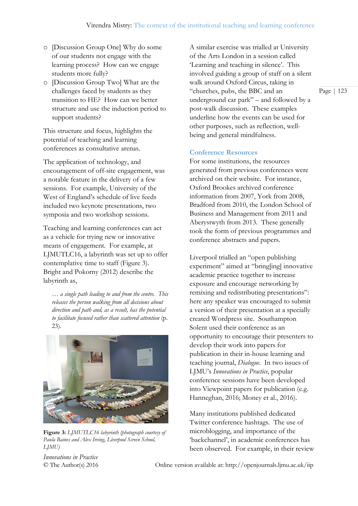- o [Discussion Group One] Why do some of our students not engage with the learning process? How can we engage students more fully?
- o [Discussion Group Two] What are the challenges faced by students as they transition to HE? How can we better structure and use the induction period to support students?

This structure and focus, highlights the potential of teaching and learning conferences as consultative arenas.

The application of technology, and encouragement of off-site engagement, was a notable feature in the delivery of a few sessions. For example, University of the West of England's schedule of live feeds included two keynote presentations, two symposia and two workshop sessions.

Teaching and learning conferences can act as a vehicle for trying new or innovative means of engagement. For example, at LJMUTLC16, a labyrinth was set up to offer contemplative time to staff (Figure 3). Bright and Pokorny (2012) describe the labyrinth as,

*… a single path leading to and from the centre. This releases the person walking from all decisions about direction and path and, as a result, has the potential to facilitate focused rather than scattered attention* (p. 23).



**Figure 3:** *LJMUTLC16 labyrinth (photograph courtesy of Paula Baines and Alex Irving, Liverpool Screen School, LJMU)*

A similar exercise was trialled at University of the Arts London in a session called 'Learning and teaching in silence'. This involved guiding a group of staff on a silent walk around Oxford Circus, taking in "churches, pubs, the BBC and an underground car park" – and followed by a post-walk discussion. These examples underline how the events can be used for other purposes, such as reflection, wellbeing and general mindfulness.

#### **Conference Resources**

For some institutions, the resources generated from previous conferences were archived on their website. For instance, Oxford Brookes archived conference information from 2007, York from 2008, Bradford from 2010, the London School of Business and Management from 2011 and Aberystwyth from 2013. These generally took the form of previous programmes and conference abstracts and papers.

Liverpool trialled an "open publishing experiment" aimed at "bring[ing] innovative academic practice together to increase exposure and encourage networking by remixing and redistributing presentations": here any speaker was encouraged to submit a version of their presentation at a specially created Wordpress site. Southampton Solent used their conference as an opportunity to encourage their presenters to develop their work into papers for publication in their in-house learning and teaching journal, *Dialogue*. In two issues of LJMU's *Innovations in Practice*, popular conference sessions have been developed into Viewpoint papers for publication (e.g. Hanneghan, 2016; Money et al., 2016).

Many institutions published dedicated Twitter conference hashtags. The use of microblogging, and importance of the 'backchannel', in academic conferences has been observed. For example, in their review

*Innovations in Practice*

© The Author(s) 2016 Online version available at: http://openjournals.ljmu.ac.uk/iip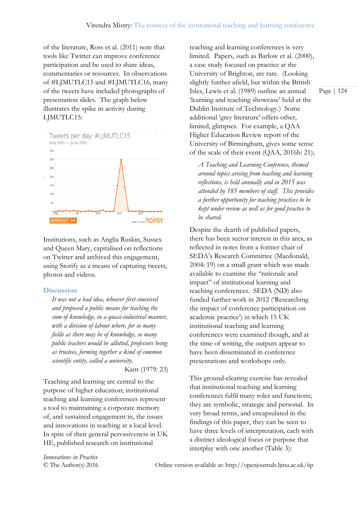of the literature, Ross et al. (2011) note that tools like Twitter can improve conference participation and be used to share ideas, commentaries or resources. In observations of #LJMUTLC15 and #LJMUTLC16, many of the tweets have included photographs of presentation slides. The graph below illustrates the spike in activity during LJMUTLC15:



Institutions, such as Anglia Ruskin, Sussex and Queen Mary, capitalised on reflections on Twitter and archived this engagement, using Storify as a means of capturing tweets, photos and videos.

#### **Discussion**

*It was not a bad idea, whoever first conceived and proposed a public means for teaching the sum of knowledge, in a quasi-industrial manner, with a division of labour where, for so many fields as there may be of knowledge, so many public teachers would be allotted, professors being as trustees, forming together a kind of common scientific entity, called a university.*

Kant (1979: 23)

Teaching and learning are central to the purpose of higher education; institutional teaching and learning conferences represent a tool to maintaining a corporate memory of, and sustained engagement in, the issues and innovations in teaching at a local level. In spite of their general pervasiveness in UK HE, published research on institutional

teaching and learning conferences is very limited. Papers, such as Barlow et al. (2000), a case study focused on practice at the University of Brighton, are rare. (Looking slightly further afield, but within the British Isles, Lewis et al. (1989) outline an annual 'learning and teaching showcase' held at the Dublin Institute of Technology.) Some additional 'grey literature' offers other, limited, glimpses. For example, a QAA Higher Education Review report of the University of Birmingham, gives some sense of the scale of their event (QAA, 2016b: 21);

*A Teaching and Learning Conference, themed around topics arising from teaching and learning reflections, is held annually and in 2015 was attended by 185 members of staff. This provides a further opportunity for teaching practices to be kept under review as well as for good practice to be shared.*

Despite the dearth of published papers, there has been sector interest in this area, as reflected in notes from a former chair of SEDA's Research Committee (Macdonald, 2004: 19) on a small grant which was made available to examine the "rationale and impact" of institutional learning and teaching conferences. SEDA (ND) also funded further work in 2012 ('Researching the impact of conference participation on academic practice') in which 15 UK institutional teaching and learning conferences were examined though, and at the time of writing, the outputs appear to have been disseminated in conference presentations and workshops only.

This ground-clearing exercise has revealed that institutional teaching and learning conferences fulfil many roles and functions; they are symbolic, strategic and personal. In very broad terms, and encapsulated in the findings of this paper, they can be seen to have three levels of interpretation, each with a distinct ideological focus or purpose that interplay with one another (Table 3):

*Innovations in Practice*

© The Author(s) 2016 Online version available at: http://openjournals.ljmu.ac.uk/iip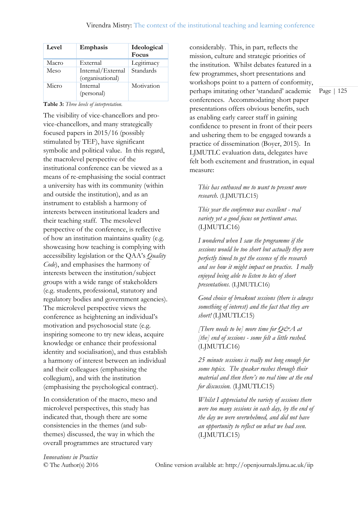| Level | Emphasis                              | Ideological<br>Focus |
|-------|---------------------------------------|----------------------|
| Macro | External                              | Legitimacy           |
| Meso  | Internal/External<br>(organisational) | Standards            |
| Micro | Internal<br>(personal)                | Motivation           |

**Table 3:** *Three levels of interpretation.*

The visibility of vice-chancellors and provice-chancellors, and many strategically focused papers in 2015/16 (possibly stimulated by TEF), have significant symbolic and political value. In this regard, the macrolevel perspective of the institutional conference can be viewed as a means of re-emphasising the social contract a university has with its community (within and outside the institution), and as an instrument to establish a harmony of interests between institutional leaders and their teaching staff. The mesolevel perspective of the conference, is reflective of how an institution maintains quality (e.g. showcasing how teaching is complying with accessibility legislation or the QAA's *Quality Code*), and emphasises the harmony of interests between the institution/subject groups with a wide range of stakeholders (e.g. students, professional, statutory and regulatory bodies and government agencies). The microlevel perspective views the conference as heightening an individual's motivation and psychosocial state (e.g. inspiring someone to try new ideas, acquire knowledge or enhance their professional identity and socialisation), and thus establish a harmony of interest between an individual and their colleagues (emphasising the collegium), and with the institution (emphasising the psychological contract).

In consideration of the macro, meso and microlevel perspectives, this study has indicated that, though there are some consistencies in the themes (and subthemes) discussed, the way in which the overall programmes are structured vary

considerably. This, in part, reflects the mission, culture and strategic priorities of the institution. Whilst debates featured in a few programmes, short presentations and workshops point to a pattern of conformity, perhaps imitating other 'standard' academic conferences. Accommodating short paper presentations offers obvious benefits, such as enabling early career staff in gaining confidence to present in front of their peers and ushering them to be engaged towards a practice of dissemination (Boyer, 2015). In LJMUTLC evaluation data, delegates have felt both excitement and frustration, in equal measure:

#### *This has enthused me to want to present more research.* (LJMUTLC15)

*This year the conference was excellent - real variety yet a good focus on pertinent areas.* (LJMUTLC16)

*I wondered when I saw the programme if the sessions would be too short but actually they were perfectly timed to get the essence of the research and see how it might impact on practice. I really enjoyed being able to listen to lots of short presentations*. (LJMUTLC16)

*Good choice of breakout sessions (there is always something of interest) and the fact that they are short!* (LJMUTLC15)

*[There needs to be] more time for Q&A at [the] end of sessions - some felt a little rushed.* (LJMUTLC16)

*25 minute sessions is really not long enough for some topics. The speaker rushes through their material and then there's no real time at the end for discussion.* (LJMUTLC15)

*Whilst I appreciated the variety of sessions there were too many sessions in each day, by the end of the day we were overwhelmed, and did not have an opportunity to reflect on what we had seen.* (LJMUTLC15)

*Innovations in Practice*

© The Author(s) 2016 Online version available at: http://openjournals.ljmu.ac.uk/iip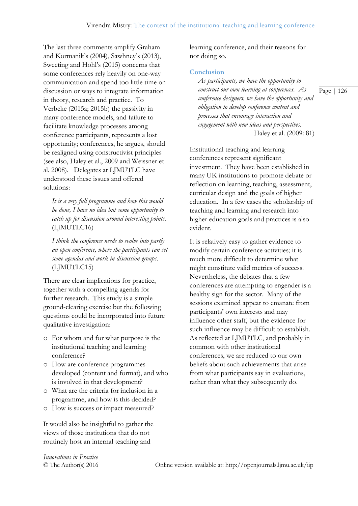The last three comments amplify Graham and Kormanik's (2004), Sawhney's (2013), Sweeting and Hohl's (2015) concerns that some conferences rely heavily on one-way communication and spend too little time on discussion or ways to integrate information in theory, research and practice. To Verbeke (2015a; 2015b) the passivity in many conference models, and failure to facilitate knowledge processes among conference participants, represents a lost opportunity; conferences, he argues, should be realigned using constructivist principles (see also, Haley et al., 2009 and Weissner et al. 2008). Delegates at LJMUTLC have understood these issues and offered solutions:

*It is a very full programme and how this would be done, I have no idea but some opportunity to catch up for discussion around interesting points.* (LJMUTLC16)

*I think the conference needs to evolve into partly an open conference, where the participants can set some agendas and work in discussion groups*. (LJMUTLC15)

There are clear implications for practice, together with a compelling agenda for further research. This study is a simple ground-clearing exercise but the following questions could be incorporated into future qualitative investigation:

- o For whom and for what purpose is the institutional teaching and learning conference?
- o How are conference programmes developed (content and format), and who is involved in that development?
- o What are the criteria for inclusion in a programme, and how is this decided?
- o How is success or impact measured?

It would also be insightful to gather the views of those institutions that do not routinely host an internal teaching and

learning conference, and their reasons for not doing so.

#### **Conclusion**

*As participants, we have the opportunity to construct our own learning at conferences. As conference designers, we have the opportunity and obligation to develop conference content and processes that encourage interaction and engagement with new ideas and perspectives.* Haley et al. (2009: 81)

Institutional teaching and learning conferences represent significant investment. They have been established in many UK institutions to promote debate or reflection on learning, teaching, assessment, curricular design and the goals of higher education. In a few cases the scholarship of teaching and learning and research into higher education goals and practices is also evident.

It is relatively easy to gather evidence to modify certain conference activities; it is much more difficult to determine what might constitute valid metrics of success. Nevertheless, the debates that a few conferences are attempting to engender is a healthy sign for the sector. Many of the sessions examined appear to emanate from participants' own interests and may influence other staff, but the evidence for such influence may be difficult to establish. As reflected at LJMUTLC, and probably in common with other institutional conferences, we are reduced to our own beliefs about such achievements that arise from what participants say in evaluations, rather than what they subsequently do.

*Innovations in Practice*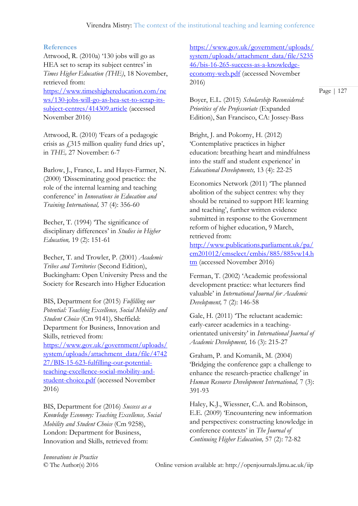#### **References**

Attwood, R. (2010a) '130 jobs will go as HEA set to scrap its subject centres' in *Times Higher Education (THE)*, 18 November, retrieved from: [https://www.timeshighereducation.com/ne](https://www.timeshighereducation.com/news/130-jobs-will-go-as-hea-set-to-scrap-its-subject-centres/414309.article) [ws/130-jobs-will-go-as-hea-set-to-scrap-its](https://www.timeshighereducation.com/news/130-jobs-will-go-as-hea-set-to-scrap-its-subject-centres/414309.article)[subject-centres/414309.article](https://www.timeshighereducation.com/news/130-jobs-will-go-as-hea-set-to-scrap-its-subject-centres/414309.article) (accessed November 2016)

Attwood, R. (2010) 'Fears of a pedagogic crisis as  $\angle$  315 million quality fund dries up', in *THE,* 27 November: 6-7

Barlow, J., France, L. and Hayes-Farmer, N. (2000) 'Disseminating good practice: the role of the internal learning and teaching conference' in *Innovations in Education and Training International,* 37 (4): 356-60

Becher, T. (1994) 'The significance of disciplinary differences' in *Studies in Higher Education,* 19 (2): 151-61

Becher, T. and Trowler, P. (2001) *Academic Tribes and Territories* (Second Edition), Buckingham: Open University Press and the Society for Research into Higher Education

BIS, Department for (2015) *Fulfilling our Potential: Teaching Excellence, Social Mobility and Student Choice* (Cm 9141)*,* Sheffield: Department for Business, Innovation and Skills, retrieved from: [https://www.gov.uk/government/uploads/](https://www.gov.uk/government/uploads/system/uploads/attachment_data/file/474227/BIS-15-623-fulfilling-our-potential-teaching-excellence-social-mobility-and-student-choice.pdf) [system/uploads/attachment\\_data/file/4742](https://www.gov.uk/government/uploads/system/uploads/attachment_data/file/474227/BIS-15-623-fulfilling-our-potential-teaching-excellence-social-mobility-and-student-choice.pdf) [27/BIS-15-623-fulfilling-our-potential](https://www.gov.uk/government/uploads/system/uploads/attachment_data/file/474227/BIS-15-623-fulfilling-our-potential-teaching-excellence-social-mobility-and-student-choice.pdf)[teaching-excellence-social-mobility-and](https://www.gov.uk/government/uploads/system/uploads/attachment_data/file/474227/BIS-15-623-fulfilling-our-potential-teaching-excellence-social-mobility-and-student-choice.pdf)[student-choice.pdf](https://www.gov.uk/government/uploads/system/uploads/attachment_data/file/474227/BIS-15-623-fulfilling-our-potential-teaching-excellence-social-mobility-and-student-choice.pdf) (accessed November 2016)

BIS, Department for (2016) *Success as a Knowledge Economy: Teaching Excellence, Social Mobility and Student Choice* (Cm 9258), London: Department for Business, Innovation and Skills, retrieved from:

[https://www.gov.uk/government/uploads/](https://www.gov.uk/government/uploads/system/uploads/attachment_data/file/523546/bis-16-265-success-as-a-knowledge-economy-web.pdf) [system/uploads/attachment\\_data/file/5235](https://www.gov.uk/government/uploads/system/uploads/attachment_data/file/523546/bis-16-265-success-as-a-knowledge-economy-web.pdf) [46/bis-16-265-success-as-a-knowledge](https://www.gov.uk/government/uploads/system/uploads/attachment_data/file/523546/bis-16-265-success-as-a-knowledge-economy-web.pdf)[economy-web.pdf](https://www.gov.uk/government/uploads/system/uploads/attachment_data/file/523546/bis-16-265-success-as-a-knowledge-economy-web.pdf) (accessed November 2016)

Page | 127

Boyer, E.L. (2015) *Scholarship Reconsidered: Priorities of the Professoriate* (Expanded Edition), San Francisco, CA: Jossey-Bass

Bright, J. and Pokorny, H. (2012) 'Contemplative practices in higher education: breathing heart and mindfulness into the staff and student experience' in *Educational Developments,* 13 (4): 22-25

Economics Network (2011) 'The planned abolition of the subject centres: why they should be retained to support HE learning and teaching', further written evidence submitted in response to the Government reform of higher education, 9 March, retrieved from:

[http://www.publications.parliament.uk/pa/](http://www.publications.parliament.uk/pa/cm201012/cmselect/cmbis/885/885vw14.htm) [cm201012/cmselect/cmbis/885/885vw14.h](http://www.publications.parliament.uk/pa/cm201012/cmselect/cmbis/885/885vw14.htm) [tm](http://www.publications.parliament.uk/pa/cm201012/cmselect/cmbis/885/885vw14.htm) (accessed November 2016)

Ferman, T. (2002) 'Academic professional development practice: what lecturers find valuable' in *International Journal for Academic Development,* 7 (2): 146-58

Gale, H. (2011) 'The reluctant academic: early-career academics in a teachingorientated university' in *International Journal of Academic Development,* 16 (3): 215-27

Graham, P. and Komanik, M. (2004) 'Bridging the conference gap: a challenge to enhance the research-practice challenge' in *Human Resource Development International,* 7 (3): 391-93

Haley, K.J., Wiessner, C.A. and Robinson, E.E. (2009) 'Encountering new information and perspectives: constructing knowledge in conference contexts' in *The Journal of Continuing Higher Education,* 57 (2): 72-82

*Innovations in Practice*

© The Author(s) 2016 Online version available at: http://openjournals.ljmu.ac.uk/iip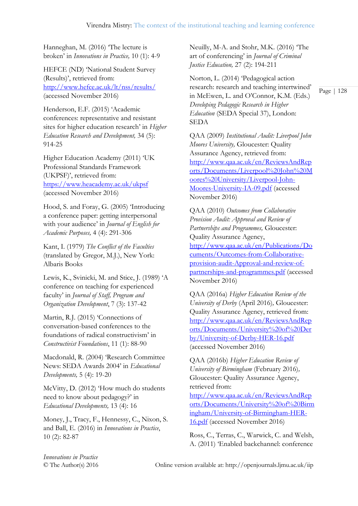Hanneghan, M. (2016) 'The lecture is broken' in *Innovations in Practice,* 10 (1): 4-9

HEFCE (ND) 'National Student Survey (Results)', retrieved from: <http://www.hefce.ac.uk/lt/nss/results/> (accessed November 2016)

Henderson, E.F. (2015) 'Academic conferences: representative and resistant sites for higher education research' in *Higher Education Research and Development,* 34 (5): 914-25

Higher Education Academy (2011) 'UK Professional Standards Framework (UKPSF)', retrieved from: <https://www.heacademy.ac.uk/ukpsf> (accessed November 2016)

Hood, S. and Foray, G. (2005) 'Introducing a conference paper: getting interpersonal with your audience' in *Journal of English for Academic Purposes,* 4 (4): 291-306

Kant, I. (1979) *The Conflict of the Faculties*  (translated by Gregor, M.J.), New York: Albaris Books

Lewis, K., Svinicki, M. and Stice, J. (1989) 'A conference on teaching for experienced faculty' in *Journal of Staff, Program and Organization Development*, 7 (3): 137-42

Martin, R.J. (2015) 'Connections of conversation-based conferences to the foundations of radical constructivism' in *Constructivist Foundations*, 11 (1): 88-90

Macdonald, R. (2004) 'Research Committee News: SEDA Awards 2004' in *Educational Developments,* 5 (4): 19-20

McVitty, D. (2012) 'How much do students need to know about pedagogy?' in *Educational Developments,* 13 (4): 16

Money, J., Tracy, F., Hennessy, C., Nixon, S. and Ball, E. (2016) in *Innovations in Practice*, 10 (2): 82-87

Neuilly, M-A. and Stohr, M.K. (2016) 'The art of conferencing' in *Journal of Criminal Justice Education,* 27 (2): 194-211

Norton, L. (2014) 'Pedagogical action research: research and teaching intertwined' in McEwen, L. and O'Connor, K.M. (Eds.) *Developing Pedagogic Research in Higher Education* (SEDA Special 37), London: SEDA

QAA (2009) *Institutional Audit: Liverpool John Moores University,* Gloucester: Quality Assurance Agency, retrieved from: [http://www.qaa.ac.uk/en/ReviewsAndRep](http://www.qaa.ac.uk/en/ReviewsAndReports/Documents/Liverpool%20John%20Moores%20University/Liverpool-John-Moores-University-IA-09.pdf) [orts/Documents/Liverpool%20John%20M](http://www.qaa.ac.uk/en/ReviewsAndReports/Documents/Liverpool%20John%20Moores%20University/Liverpool-John-Moores-University-IA-09.pdf) [oores%20University/Liverpool-John-](http://www.qaa.ac.uk/en/ReviewsAndReports/Documents/Liverpool%20John%20Moores%20University/Liverpool-John-Moores-University-IA-09.pdf)[Moores-University-IA-09.pdf](http://www.qaa.ac.uk/en/ReviewsAndReports/Documents/Liverpool%20John%20Moores%20University/Liverpool-John-Moores-University-IA-09.pdf) (accessed November 2016)

QAA (2010) *Outcomes from Collaborative Provision Audit: Approval and Review of Partnerships and Programmes,* Gloucester: Quality Assurance Agency, [http://www.qaa.ac.uk/en/Publications/Do](http://www.qaa.ac.uk/en/Publications/Documents/Outcomes-from-Collaborative-provision-audit-Approval-and-review-of-partnerships-and-programmes.pdf) [cuments/Outcomes-from-Collaborative](http://www.qaa.ac.uk/en/Publications/Documents/Outcomes-from-Collaborative-provision-audit-Approval-and-review-of-partnerships-and-programmes.pdf)[provision-audit-Approval-and-review-of](http://www.qaa.ac.uk/en/Publications/Documents/Outcomes-from-Collaborative-provision-audit-Approval-and-review-of-partnerships-and-programmes.pdf)[partnerships-and-programmes.pdf](http://www.qaa.ac.uk/en/Publications/Documents/Outcomes-from-Collaborative-provision-audit-Approval-and-review-of-partnerships-and-programmes.pdf) (accessed November 2016)

QAA (2016a) *Higher Education Review of the University of Derby* (April 2016)*,* Gloucester: Quality Assurance Agency, retrieved from: [http://www.qaa.ac.uk/en/ReviewsAndRep](http://www.qaa.ac.uk/en/ReviewsAndReports/Documents/University%20of%20Derby/University-of-Derby-HER-16.pdf) [orts/Documents/University%20of%20Der](http://www.qaa.ac.uk/en/ReviewsAndReports/Documents/University%20of%20Derby/University-of-Derby-HER-16.pdf) [by/University-of-Derby-HER-16.pdf](http://www.qaa.ac.uk/en/ReviewsAndReports/Documents/University%20of%20Derby/University-of-Derby-HER-16.pdf) (accessed November 2016)

QAA (2016b) *Higher Education Review of University of Birmingham* (February 2016)*,*  Gloucester: Quality Assurance Agency, retrieved from:

[http://www.qaa.ac.uk/en/ReviewsAndRep](http://www.qaa.ac.uk/en/ReviewsAndReports/Documents/University%20of%20Birmingham/University-of-Birmingham-HER-16.pdf) [orts/Documents/University%20of%20Birm](http://www.qaa.ac.uk/en/ReviewsAndReports/Documents/University%20of%20Birmingham/University-of-Birmingham-HER-16.pdf) [ingham/University-of-Birmingham-HER-](http://www.qaa.ac.uk/en/ReviewsAndReports/Documents/University%20of%20Birmingham/University-of-Birmingham-HER-16.pdf)[16.pdf](http://www.qaa.ac.uk/en/ReviewsAndReports/Documents/University%20of%20Birmingham/University-of-Birmingham-HER-16.pdf) (accessed November 2016)

Ross, C., Terras, C., Warwick, C. and Welsh, A. (2011) 'Enabled backchannel: conference

*Innovations in Practice*

© The Author(s) 2016 Online version available at: http://openjournals.ljmu.ac.uk/iip